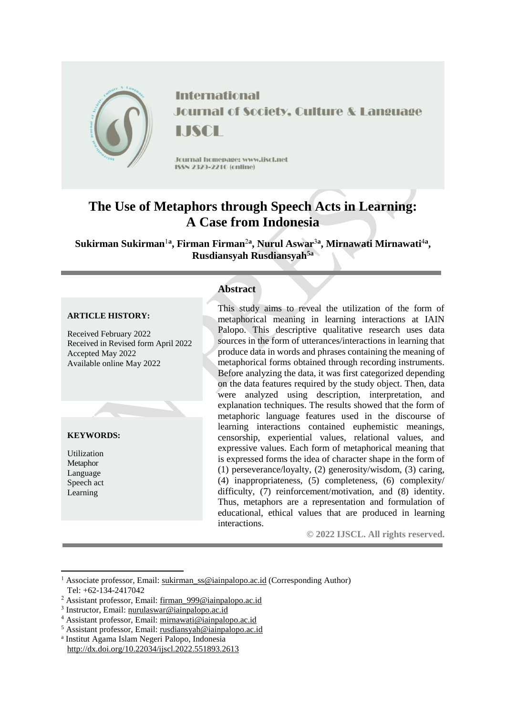

**International Journal of Society, Culture & Language LISCE** 

Journal homepage: www.jiscl.net ISSN 2329-2210 (cnline)

# **The Use of Metaphors through Speech Acts in Learning: A Case from Indonesia**

 $\mathbf{S}$ ukirman  $\mathbf{S}$ ukirman<sup>1a</sup>, Firman Firman<sup>2a</sup>, Nurul Aswar<sup>3a</sup>, Mirnawati Mirnawati<sup>4a</sup>, **Rusdiansyah Rusdiansyah5a**

#### **ARTICLE HISTORY:**

Received February 2022 Received in Revised form April 2022 Accepted May 2022 Available online May 2022

#### **KEYWORDS:**

Utilization Metaphor Language Speech act Learning

# **Abstract**

This study aims to reveal the utilization of the form of metaphorical meaning in learning interactions at IAIN Palopo. This descriptive qualitative research uses data sources in the form of utterances/interactions in learning that produce data in words and phrases containing the meaning of metaphorical forms obtained through recording instruments. Before analyzing the data, it was first categorized depending on the data features required by the study object. Then, data were analyzed using description, interpretation, and explanation techniques. The results showed that the form of metaphoric language features used in the discourse of learning interactions contained euphemistic meanings, censorship, experiential values, relational values, and expressive values. Each form of metaphorical meaning that is expressed forms the idea of character shape in the form of (1) perseverance/loyalty, (2) generosity/wisdom, (3) caring, (4) inappropriateness, (5) completeness, (6) complexity/ difficulty, (7) reinforcement/motivation, and (8) identity. Thus, metaphors are a representation and formulation of educational, ethical values that are produced in learning interactions.

**© 2022 IJSCL. All rights reserved.**

**.** <sup>1</sup> Associate professor, Email: [sukirman\\_ss@iainpalopo.ac.id](mailto:sukirman_ss@iainpalopo.ac.id) (Corresponding Author) Tel: +62-134-2417042

<sup>2</sup> Assistant professor, Email: [firman\\_999@iainpalopo.ac.id](mailto:firman_999@iainpalopo.ac.id)

<sup>&</sup>lt;sup>3</sup> Instructor, Email: [nurulaswar@iainpalopo.ac.id](mailto:nurulaswar@iainpalopo.ac.id)

<sup>4</sup> Assistant professor, Email: [mirnawati@iainpalopo.ac.id](mailto:mirnawati@iainpalopo.ac.id)

<sup>5</sup> Assistant professor, Email: rusdiansyah@iainpalopo.ac.id

a Institut Agama Islam Negeri Palopo, Indonesia http://dx.doi.org/10.22034/ijscl.2022.551893.2613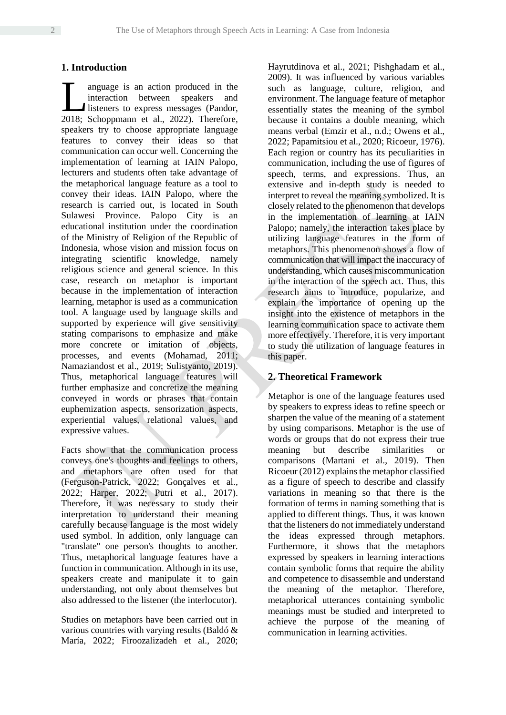# **1. Introduction**

anguage is an action produced in the interaction between speakers and listeners to express messages (Pandor, Imaguage is an action produced in the interaction between speakers and listeners to express messages (Pandor, 2018; Schoppmann et al., 2022). Therefore, speakers try to choose appropriate language features to convey their ideas so that communication can occur well. Concerning the implementation of learning at IAIN Palopo, lecturers and students often take advantage of the metaphorical language feature as a tool to convey their ideas. IAIN Palopo, where the research is carried out, is located in South Sulawesi Province. Palopo City is an educational institution under the coordination of the Ministry of Religion of the Republic of Indonesia, whose vision and mission focus on integrating scientific knowledge, namely religious science and general science. In this case, research on metaphor is important because in the implementation of interaction learning, metaphor is used as a communication tool. A language used by language skills and supported by experience will give sensitivity stating comparisons to emphasize and make more concrete or imitation of objects, processes, and events (Mohamad, 2011; Namaziandost et al., 2019; Sulistyanto, 2019). Thus, metaphorical language features will further emphasize and concretize the meaning conveyed in words or phrases that contain euphemization aspects, sensorization aspects, experiential values, relational values, and expressive values.

Facts show that the communication process conveys one's thoughts and feelings to others, and metaphors are often used for that (Ferguson-Patrick, 2022; Gonçalves et al., 2022; Harper, 2022; Putri et al., 2017). Therefore, it was necessary to study their interpretation to understand their meaning carefully because language is the most widely used symbol. In addition, only language can "translate" one person's thoughts to another. Thus, metaphorical language features have a function in communication. Although in its use, speakers create and manipulate it to gain understanding, not only about themselves but also addressed to the listener (the interlocutor).

Studies on metaphors have been carried out in various countries with varying results (Baldó & María, 2022; Firoozalizadeh et al., 2020; Hayrutdinova et al., 2021; Pishghadam et al., 2009). It was influenced by various variables such as language, culture, religion, and environment. The language feature of metaphor essentially states the meaning of the symbol because it contains a double meaning, which means verbal (Emzir et al., n.d.; Owens et al., 2022; Papamitsiou et al., 2020; Ricoeur, 1976). Each region or country has its peculiarities in communication, including the use of figures of speech, terms, and expressions. Thus, an extensive and in-depth study is needed to interpret to reveal the meaning symbolized. It is closely related to the phenomenon that develops in the implementation of learning at IAIN Palopo; namely, the interaction takes place by utilizing language features in the form of metaphors. This phenomenon shows a flow of communication that will impact the inaccuracy of understanding, which causes miscommunication in the interaction of the speech act. Thus, this research aims to introduce, popularize, and explain the importance of opening up the insight into the existence of metaphors in the learning communication space to activate them more effectively. Therefore, it is very important to study the utilization of language features in this paper.

# **2. Theoretical Framework**

Metaphor is one of the language features used by speakers to express ideas to refine speech or sharpen the value of the meaning of a statement by using comparisons. Metaphor is the use of words or groups that do not express their true meaning but describe similarities or comparisons (Martani et al., 2019). Then Ricoeur (2012) explains the metaphor classified as a figure of speech to describe and classify variations in meaning so that there is the formation of terms in naming something that is applied to different things. Thus, it was known that the listeners do not immediately understand the ideas expressed through metaphors. Furthermore, it shows that the metaphors expressed by speakers in learning interactions contain symbolic forms that require the ability and competence to disassemble and understand the meaning of the metaphor. Therefore, metaphorical utterances containing symbolic meanings must be studied and interpreted to achieve the purpose of the meaning of communication in learning activities.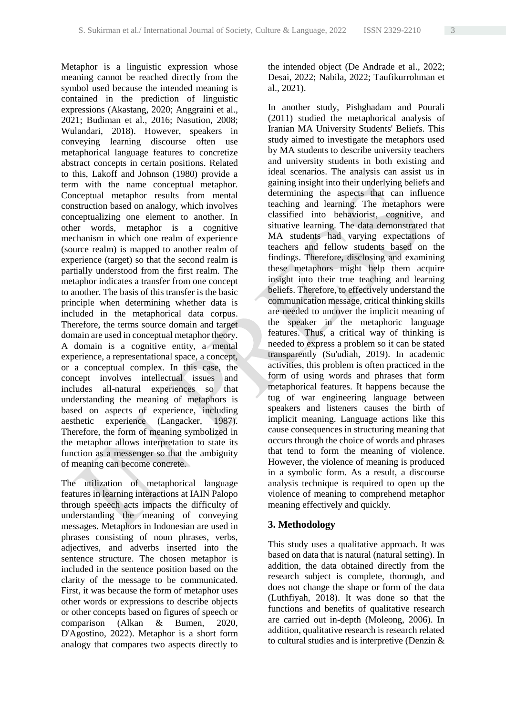Metaphor is a linguistic expression whose meaning cannot be reached directly from the symbol used because the intended meaning is contained in the prediction of linguistic expressions (Akastang, 2020; Anggraini et al., 2021; Budiman et al., 2016; Nasution, 2008; Wulandari, 2018). However, speakers in conveying learning discourse often use metaphorical language features to concretize abstract concepts in certain positions. Related to this, Lakoff and Johnson (1980) provide a term with the name conceptual metaphor. Conceptual metaphor results from mental construction based on analogy, which involves conceptualizing one element to another. In other words, metaphor is a cognitive mechanism in which one realm of experience (source realm) is mapped to another realm of experience (target) so that the second realm is partially understood from the first realm. The metaphor indicates a transfer from one concept to another. The basis of this transfer is the basic principle when determining whether data is included in the metaphorical data corpus. Therefore, the terms source domain and target domain are used in conceptual metaphor theory. A domain is a cognitive entity, a mental experience, a representational space, a concept, or a conceptual complex. In this case, the concept involves intellectual issues and includes all-natural experiences so that understanding the meaning of metaphors is based on aspects of experience, including aesthetic experience (Langacker, 1987). Therefore, the form of meaning symbolized in the metaphor allows interpretation to state its function as a messenger so that the ambiguity of meaning can become concrete.

The utilization of metaphorical language features in learning interactions at IAIN Palopo through speech acts impacts the difficulty of understanding the meaning of conveying messages. Metaphors in Indonesian are used in phrases consisting of noun phrases, verbs, adjectives, and adverbs inserted into the sentence structure. The chosen metaphor is included in the sentence position based on the clarity of the message to be communicated. First, it was because the form of metaphor uses other words or expressions to describe objects or other concepts based on figures of speech or comparison (Alkan & Bumen, 2020, D'Agostino, 2022). Metaphor is a short form analogy that compares two aspects directly to the intended object (De Andrade et al., 2022; Desai, 2022; Nabila, 2022; Taufikurrohman et al., 2021).

In another study, Pishghadam and Pourali (2011) studied the metaphorical analysis of Iranian MA University Students' Beliefs. This study aimed to investigate the metaphors used by MA students to describe university teachers and university students in both existing and ideal scenarios. The analysis can assist us in gaining insight into their underlying beliefs and determining the aspects that can influence teaching and learning. The metaphors were classified into behaviorist, cognitive, and situative learning. The data demonstrated that MA students had varying expectations of teachers and fellow students based on the findings. Therefore, disclosing and examining these metaphors might help them acquire insight into their true teaching and learning beliefs. Therefore, to effectively understand the communication message, critical thinking skills are needed to uncover the implicit meaning of the speaker in the metaphoric language features. Thus, a critical way of thinking is needed to express a problem so it can be stated transparently (Su'udiah, 2019). In academic activities, this problem is often practiced in the form of using words and phrases that form metaphorical features. It happens because the tug of war engineering language between speakers and listeners causes the birth of implicit meaning. Language actions like this cause consequences in structuring meaning that occurs through the choice of words and phrases that tend to form the meaning of violence. However, the violence of meaning is produced in a symbolic form. As a result, a discourse analysis technique is required to open up the violence of meaning to comprehend metaphor meaning effectively and quickly.

# **3. Methodology**

This study uses a qualitative approach. It was based on data that is natural (natural setting). In addition, the data obtained directly from the research subject is complete, thorough, and does not change the shape or form of the data (Luthfiyah, 2018). It was done so that the functions and benefits of qualitative research are carried out in-depth (Moleong, 2006). In addition, qualitative research is research related to cultural studies and is interpretive (Denzin &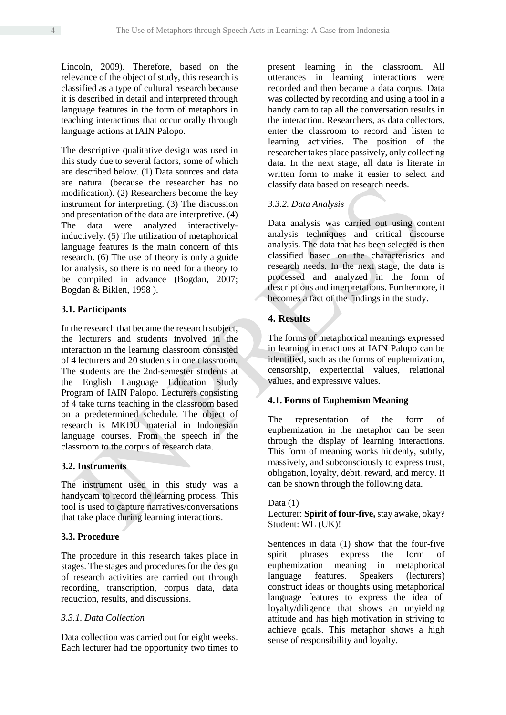Lincoln, 2009). Therefore, based on the relevance of the object of study, this research is classified as a type of cultural research because it is described in detail and interpreted through language features in the form of metaphors in teaching interactions that occur orally through language actions at IAIN Palopo.

The descriptive qualitative design was used in this study due to several factors, some of which are described below. (1) Data sources and data are natural (because the researcher has no modification). (2) Researchers become the key instrument for interpreting. (3) The discussion and presentation of the data are interpretive. (4) The data were analyzed interactivelyinductively. (5) The utilization of metaphorical language features is the main concern of this research. (6) The use of theory is only a guide for analysis, so there is no need for a theory to be compiled in advance (Bogdan, 2007; Bogdan & Biklen, 1998 ).

#### **3.1. Participants**

In the research that became the research subject, the lecturers and students involved in the interaction in the learning classroom consisted of 4 lecturers and 20 students in one classroom. The students are the 2nd-semester students at the English Language Education Study Program of IAIN Palopo. Lecturers consisting of 4 take turns teaching in the classroom based on a predetermined schedule. The object of research is MKDU material in Indonesian language courses. From the speech in the classroom to the corpus of research data.

# **3.2. Instruments**

The instrument used in this study was a handycam to record the learning process. This tool is used to capture narratives/conversations that take place during learning interactions.

## **3.3. Procedure**

The procedure in this research takes place in stages. The stages and procedures for the design of research activities are carried out through recording, transcription, corpus data, data reduction, results, and discussions.

# *3.3.1. Data Collection*

Data collection was carried out for eight weeks. Each lecturer had the opportunity two times to present learning in the classroom. All utterances in learning interactions were recorded and then became a data corpus. Data was collected by recording and using a tool in a handy cam to tap all the conversation results in the interaction. Researchers, as data collectors, enter the classroom to record and listen to learning activities. The position of the researcher takes place passively, only collecting data. In the next stage, all data is literate in written form to make it easier to select and classify data based on research needs.

## *3.3.2. Data Analysis*

Data analysis was carried out using content analysis techniques and critical discourse analysis. The data that has been selected is then classified based on the characteristics and research needs. In the next stage, the data is processed and analyzed in the form of descriptions and interpretations. Furthermore, it becomes a fact of the findings in the study.

# **4. Results**

The forms of metaphorical meanings expressed in learning interactions at IAIN Palopo can be identified, such as the forms of euphemization, censorship, experiential values, relational values, and expressive values.

#### **4.1. Forms of Euphemism Meaning**

The representation of the form of euphemization in the metaphor can be seen through the display of learning interactions. This form of meaning works hiddenly, subtly, massively, and subconsciously to express trust, obligation, loyalty, debit, reward, and mercy. It can be shown through the following data.

#### Data  $(1)$

Lecturer: **Spirit of four-five,** stay awake, okay? Student: WL (UK)!

Sentences in data (1) show that the four-five spirit phrases express the form of euphemization meaning in metaphorical language features. Speakers (lecturers) construct ideas or thoughts using metaphorical language features to express the idea of loyalty/diligence that shows an unyielding attitude and has high motivation in striving to achieve goals. This metaphor shows a high sense of responsibility and loyalty.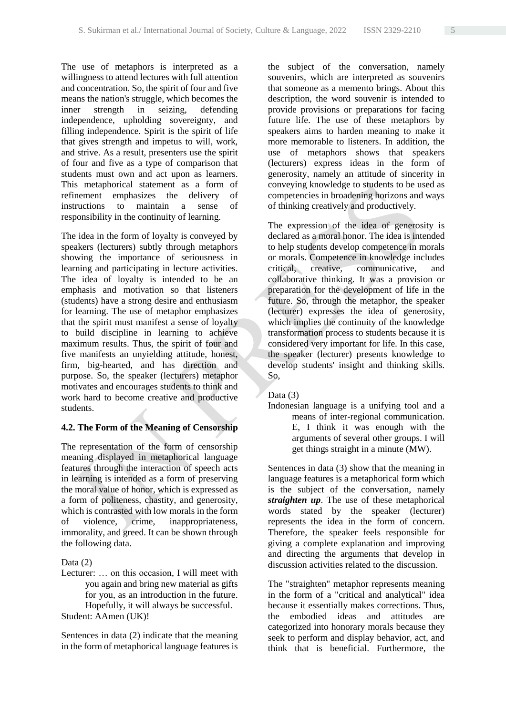The use of metaphors is interpreted as a willingness to attend lectures with full attention and concentration. So, the spirit of four and five means the nation's struggle, which becomes the inner strength in seizing, defending independence, upholding sovereignty, and filling independence. Spirit is the spirit of life that gives strength and impetus to will, work, and strive. As a result, presenters use the spirit of four and five as a type of comparison that students must own and act upon as learners. This metaphorical statement as a form of refinement emphasizes the delivery of instructions to maintain a sense of responsibility in the continuity of learning.

The idea in the form of loyalty is conveyed by speakers (lecturers) subtly through metaphors showing the importance of seriousness in learning and participating in lecture activities. The idea of loyalty is intended to be an emphasis and motivation so that listeners (students) have a strong desire and enthusiasm for learning. The use of metaphor emphasizes that the spirit must manifest a sense of loyalty to build discipline in learning to achieve maximum results. Thus, the spirit of four and five manifests an unyielding attitude, honest, firm, big-hearted, and has direction and purpose. So, the speaker (lecturers) metaphor motivates and encourages students to think and work hard to become creative and productive students.

# **4.2. The Form of the Meaning of Censorship**

The representation of the form of censorship meaning displayed in metaphorical language features through the interaction of speech acts in learning is intended as a form of preserving the moral value of honor, which is expressed as a form of politeness, chastity, and generosity, which is contrasted with low morals in the form of violence, crime, inappropriateness, immorality, and greed. It can be shown through the following data.

Data (2)

Lecturer: … on this occasion, I will meet with you again and bring new material as gifts for you, as an introduction in the future. Hopefully, it will always be successful. Student: AAmen (UK)!

Sentences in data (2) indicate that the meaning in the form of metaphorical language features is the subject of the conversation, namely souvenirs, which are interpreted as souvenirs that someone as a memento brings. About this description, the word souvenir is intended to provide provisions or preparations for facing future life. The use of these metaphors by speakers aims to harden meaning to make it more memorable to listeners. In addition, the use of metaphors shows that speakers (lecturers) express ideas in the form of generosity, namely an attitude of sincerity in conveying knowledge to students to be used as competencies in broadening horizons and ways of thinking creatively and productively.

The expression of the idea of generosity is declared as a moral honor. The idea is intended to help students develop competence in morals or morals. Competence in knowledge includes critical, creative, communicative, and collaborative thinking. It was a provision or preparation for the development of life in the future. So, through the metaphor, the speaker (lecturer) expresses the idea of generosity, which implies the continuity of the knowledge transformation process to students because it is considered very important for life. In this case, the speaker (lecturer) presents knowledge to develop students' insight and thinking skills. So,

# Data (3)

Indonesian language is a unifying tool and a means of inter-regional communication. E, I think it was enough with the arguments of several other groups. I will get things straight in a minute (MW).

Sentences in data (3) show that the meaning in language features is a metaphorical form which is the subject of the conversation, namely *straighten up*. The use of these metaphorical words stated by the speaker (lecturer) represents the idea in the form of concern. Therefore, the speaker feels responsible for giving a complete explanation and improving and directing the arguments that develop in discussion activities related to the discussion.

The "straighten" metaphor represents meaning in the form of a "critical and analytical" idea because it essentially makes corrections. Thus, the embodied ideas and attitudes are categorized into honorary morals because they seek to perform and display behavior, act, and think that is beneficial. Furthermore, the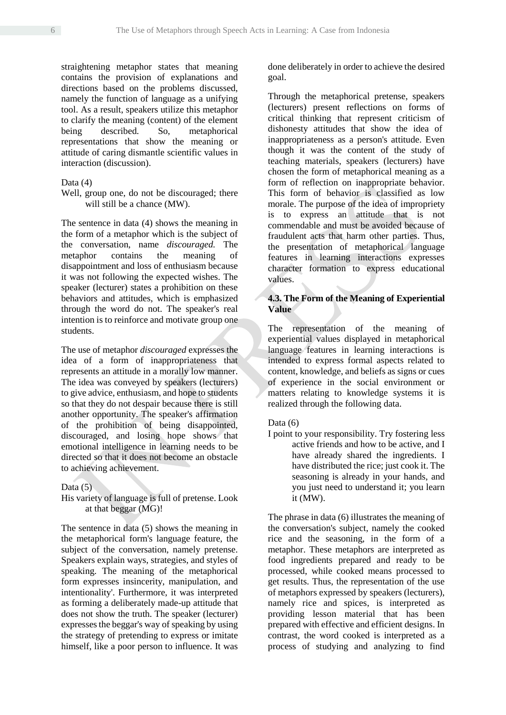straightening metaphor states that meaning contains the provision of explanations and directions based on the problems discussed, namely the function of language as a unifying tool. As a result, speakers utilize this metaphor to clarify the meaning (content) of the element being described. So, metaphorical representations that show the meaning or attitude of caring dismantle scientific values in interaction (discussion).

#### Data (4)

#### Well, group one, do not be discouraged; there will still be a chance (MW).

The sentence in data (4) shows the meaning in the form of a metaphor which is the subject of the conversation, name *discouraged.* The metaphor contains the meaning of disappointment and loss of enthusiasm because it was not following the expected wishes. The speaker (lecturer) states a prohibition on these behaviors and attitudes, which is emphasized through the word do not. The speaker's real intention is to reinforce and motivate group one students.

The use of metaphor *discouraged* expresses the idea of a form of inappropriateness that represents an attitude in a morally low manner. The idea was conveyed by speakers (lecturers) to give advice, enthusiasm, and hope to students so that they do not despair because there is still another opportunity. The speaker's affirmation of the prohibition of being disappointed, discouraged, and losing hope shows that emotional intelligence in learning needs to be directed so that it does not become an obstacle to achieving achievement.

#### Data  $(5)$

His variety of language is full of pretense. Look at that beggar (MG)!

The sentence in data (5) shows the meaning in the metaphorical form's language feature, the subject of the conversation, namely pretense. Speakers explain ways, strategies, and styles of speaking. The meaning of the metaphorical form expresses insincerity, manipulation, and intentionality'. Furthermore, it was interpreted as forming a deliberately made-up attitude that does not show the truth. The speaker (lecturer) expresses the beggar's way of speaking by using the strategy of pretending to express or imitate himself, like a poor person to influence. It was done deliberately in order to achieve the desired goal.

Through the metaphorical pretense, speakers (lecturers) present reflections on forms of critical thinking that represent criticism of dishonesty attitudes that show the idea of inappropriateness as a person's attitude. Even though it was the content of the study of teaching materials, speakers (lecturers) have chosen the form of metaphorical meaning as a form of reflection on inappropriate behavior. This form of behavior is classified as low morale. The purpose of the idea of impropriety is to express an attitude that is not commendable and must be avoided because of fraudulent acts that harm other parties. Thus, the presentation of metaphorical language features in learning interactions expresses character formation to express educational values.

# **4.3. The Form of the Meaning of Experiential Value**

The representation of the meaning of experiential values displayed in metaphorical language features in learning interactions is intended to express formal aspects related to content, knowledge, and beliefs as signs or cues of experience in the social environment or matters relating to knowledge systems it is realized through the following data.

# Data (6)

I point to your responsibility. Try fostering less active friends and how to be active, and I have already shared the ingredients. I have distributed the rice; just cook it. The seasoning is already in your hands, and you just need to understand it; you learn it (MW).

The phrase in data (6) illustrates the meaning of the conversation's subject, namely the cooked rice and the seasoning, in the form of a metaphor. These metaphors are interpreted as food ingredients prepared and ready to be processed, while cooked means processed to get results. Thus, the representation of the use of metaphors expressed by speakers (lecturers), namely rice and spices, is interpreted as providing lesson material that has been prepared with effective and efficient designs. In contrast, the word cooked is interpreted as a process of studying and analyzing to find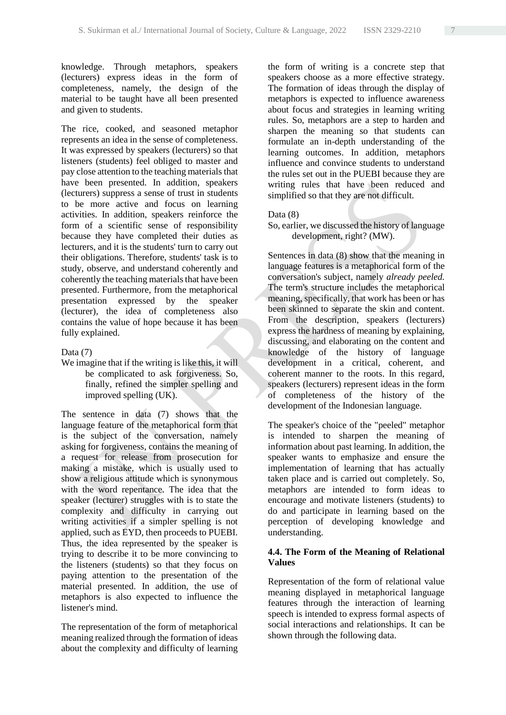knowledge. Through metaphors, speakers (lecturers) express ideas in the form of completeness, namely, the design of the material to be taught have all been presented and given to students.

The rice, cooked, and seasoned metaphor represents an idea in the sense of completeness. It was expressed by speakers (lecturers) so that listeners (students) feel obliged to master and pay close attention to the teaching materials that have been presented. In addition, speakers (lecturers) suppress a sense of trust in students to be more active and focus on learning activities. In addition, speakers reinforce the form of a scientific sense of responsibility because they have completed their duties as lecturers, and it is the students' turn to carry out their obligations. Therefore, students' task is to study, observe, and understand coherently and coherently the teaching materials that have been presented. Furthermore, from the metaphorical presentation expressed by the speaker (lecturer), the idea of completeness also contains the value of hope because it has been fully explained.

## Data (7)

We imagine that if the writing is like this, it will be complicated to ask forgiveness. So, finally, refined the simpler spelling and improved spelling (UK).

The sentence in data (7) shows that the language feature of the metaphorical form that is the subject of the conversation, namely asking for forgiveness, contains the meaning of a request for release from prosecution for making a mistake, which is usually used to show a religious attitude which is synonymous with the word repentance. The idea that the speaker (lecturer) struggles with is to state the complexity and difficulty in carrying out writing activities if a simpler spelling is not applied, such as EYD, then proceeds to PUEBI. Thus, the idea represented by the speaker is trying to describe it to be more convincing to the listeners (students) so that they focus on paying attention to the presentation of the material presented. In addition, the use of metaphors is also expected to influence the listener's mind.

The representation of the form of metaphorical meaning realized through the formation of ideas about the complexity and difficulty of learning the form of writing is a concrete step that speakers choose as a more effective strategy. The formation of ideas through the display of metaphors is expected to influence awareness about focus and strategies in learning writing rules. So, metaphors are a step to harden and sharpen the meaning so that students can formulate an in-depth understanding of the learning outcomes. In addition, metaphors influence and convince students to understand the rules set out in the PUEBI because they are writing rules that have been reduced and simplified so that they are not difficult.

#### Data (8)

So, earlier, we discussed the history of language development, right? (MW).

Sentences in data (8) show that the meaning in language features is a metaphorical form of the conversation's subject, namely *already peeled.* The term's structure includes the metaphorical meaning, specifically, that work has been or has been skinned to separate the skin and content. From the description, speakers (lecturers) express the hardness of meaning by explaining, discussing, and elaborating on the content and knowledge of the history of language development in a critical, coherent, and coherent manner to the roots. In this regard, speakers (lecturers) represent ideas in the form of completeness of the history of the development of the Indonesian language.

The speaker's choice of the "peeled" metaphor is intended to sharpen the meaning of information about past learning. In addition, the speaker wants to emphasize and ensure the implementation of learning that has actually taken place and is carried out completely. So, metaphors are intended to form ideas to encourage and motivate listeners (students) to do and participate in learning based on the perception of developing knowledge and understanding.

## **4.4. The Form of the Meaning of Relational Values**

Representation of the form of relational value meaning displayed in metaphorical language features through the interaction of learning speech is intended to express formal aspects of social interactions and relationships. It can be shown through the following data.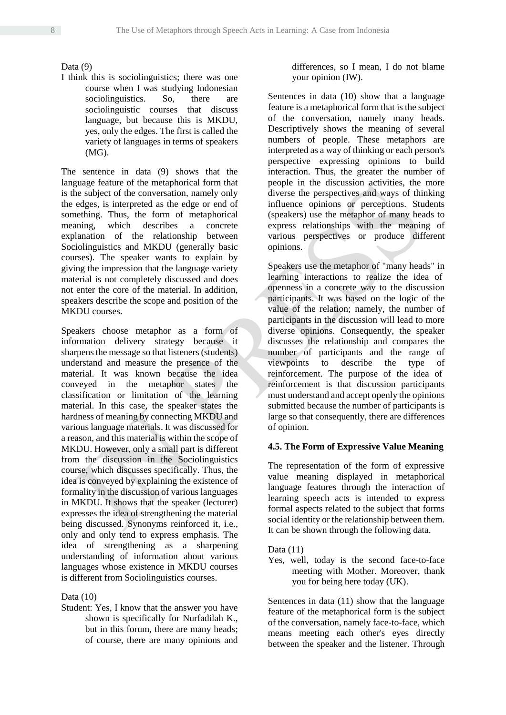# Data (9)

I think this is sociolinguistics; there was one course when I was studying Indonesian sociolinguistics. So, there are sociolinguistic courses that discuss language, but because this is MKDU, yes, only the edges. The first is called the variety of languages in terms of speakers (MG).

The sentence in data (9) shows that the language feature of the metaphorical form that is the subject of the conversation, namely only the edges, is interpreted as the edge or end of something. Thus, the form of metaphorical meaning, which describes a concrete explanation of the relationship between Sociolinguistics and MKDU (generally basic courses). The speaker wants to explain by giving the impression that the language variety material is not completely discussed and does not enter the core of the material. In addition, speakers describe the scope and position of the MKDU courses.

Speakers choose metaphor as a form of information delivery strategy because it sharpens the message so that listeners (students) understand and measure the presence of the material. It was known because the idea conveyed in the metaphor states the classification or limitation of the learning material. In this case, the speaker states the hardness of meaning by connecting MKDU and various language materials. It was discussed for a reason, and this material is within the scope of MKDU. However, only a small part is different from the discussion in the Sociolinguistics course, which discusses specifically. Thus, the idea is conveyed by explaining the existence of formality in the discussion of various languages in MKDU. It shows that the speaker (lecturer) expresses the idea of strengthening the material being discussed. Synonyms reinforced it, i.e., only and only tend to express emphasis. The idea of strengthening as a sharpening understanding of information about various languages whose existence in MKDU courses is different from Sociolinguistics courses.

# Data  $(10)$

Student: Yes, I know that the answer you have shown is specifically for Nurfadilah K., but in this forum, there are many heads; of course, there are many opinions and differences, so I mean, I do not blame your opinion (IW).

Sentences in data (10) show that a language feature is a metaphorical form that is the subject of the conversation, namely many heads. Descriptively shows the meaning of several numbers of people. These metaphors are interpreted as a way of thinking or each person's perspective expressing opinions to build interaction. Thus, the greater the number of people in the discussion activities, the more diverse the perspectives and ways of thinking influence opinions or perceptions. Students (speakers) use the metaphor of many heads to express relationships with the meaning of various perspectives or produce different opinions.

Speakers use the metaphor of "many heads" in learning interactions to realize the idea of openness in a concrete way to the discussion participants. It was based on the logic of the value of the relation; namely, the number of participants in the discussion will lead to more diverse opinions. Consequently, the speaker discusses the relationship and compares the number of participants and the range of viewpoints to describe the type of reinforcement. The purpose of the idea of reinforcement is that discussion participants must understand and accept openly the opinions submitted because the number of participants is large so that consequently, there are differences of opinion.

# **4.5. The Form of Expressive Value Meaning**

The representation of the form of expressive value meaning displayed in metaphorical language features through the interaction of learning speech acts is intended to express formal aspects related to the subject that forms social identity or the relationship between them. It can be shown through the following data.

Data  $(11)$ 

Yes, well, today is the second face-to-face meeting with Mother. Moreover, thank you for being here today (UK).

Sentences in data (11) show that the language feature of the metaphorical form is the subject of the conversation, namely face-to-face, which means meeting each other's eyes directly between the speaker and the listener. Through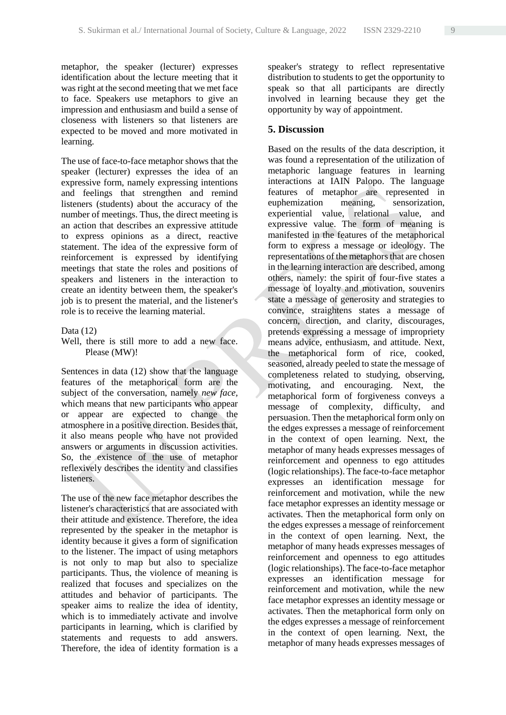metaphor, the speaker (lecturer) expresses identification about the lecture meeting that it was right at the second meeting that we met face to face. Speakers use metaphors to give an impression and enthusiasm and build a sense of closeness with listeners so that listeners are expected to be moved and more motivated in learning.

The use of face-to-face metaphor shows that the speaker (lecturer) expresses the idea of an expressive form, namely expressing intentions and feelings that strengthen and remind listeners (students) about the accuracy of the number of meetings. Thus, the direct meeting is an action that describes an expressive attitude to express opinions as a direct, reactive statement. The idea of the expressive form of reinforcement is expressed by identifying meetings that state the roles and positions of speakers and listeners in the interaction to create an identity between them, the speaker's job is to present the material, and the listener's role is to receive the learning material.

#### Data (12)

## Well, there is still more to add a new face. Please (MW)!

Sentences in data (12) show that the language features of the metaphorical form are the subject of the conversation, namely *new face,* which means that new participants who appear or appear are expected to change the atmosphere in a positive direction. Besides that, it also means people who have not provided answers or arguments in discussion activities. So, the existence of the use of metaphor reflexively describes the identity and classifies listeners.

The use of the new face metaphor describes the listener's characteristics that are associated with their attitude and existence. Therefore, the idea represented by the speaker in the metaphor is identity because it gives a form of signification to the listener. The impact of using metaphors is not only to map but also to specialize participants. Thus, the violence of meaning is realized that focuses and specializes on the attitudes and behavior of participants. The speaker aims to realize the idea of identity, which is to immediately activate and involve participants in learning, which is clarified by statements and requests to add answers. Therefore, the idea of identity formation is a speaker's strategy to reflect representative distribution to students to get the opportunity to speak so that all participants are directly involved in learning because they get the opportunity by way of appointment.

## **5. Discussion**

Based on the results of the data description, it was found a representation of the utilization of metaphoric language features in learning interactions at IAIN Palopo. The language features of metaphor are represented in euphemization meaning, sensorization, experiential value, relational value, and expressive value. The form of meaning is manifested in the features of the metaphorical form to express a message or ideology. The representations of the metaphors that are chosen in the learning interaction are described, among others, namely: the spirit of four-five states a message of loyalty and motivation, souvenirs state a message of generosity and strategies to convince, straightens states a message of concern, direction, and clarity, discourages, pretends expressing a message of impropriety means advice, enthusiasm, and attitude. Next, the metaphorical form of rice, cooked, seasoned, already peeled to state the message of completeness related to studying, observing, motivating, and encouraging. Next, the metaphorical form of forgiveness conveys a message of complexity, difficulty, and persuasion. Then the metaphorical form only on the edges expresses a message of reinforcement in the context of open learning. Next, the metaphor of many heads expresses messages of reinforcement and openness to ego attitudes (logic relationships). The face-to-face metaphor expresses an identification message for reinforcement and motivation, while the new face metaphor expresses an identity message or activates. Then the metaphorical form only on the edges expresses a message of reinforcement in the context of open learning. Next, the metaphor of many heads expresses messages of reinforcement and openness to ego attitudes (logic relationships). The face-to-face metaphor expresses an identification message for reinforcement and motivation, while the new face metaphor expresses an identity message or activates. Then the metaphorical form only on the edges expresses a message of reinforcement in the context of open learning. Next, the metaphor of many heads expresses messages of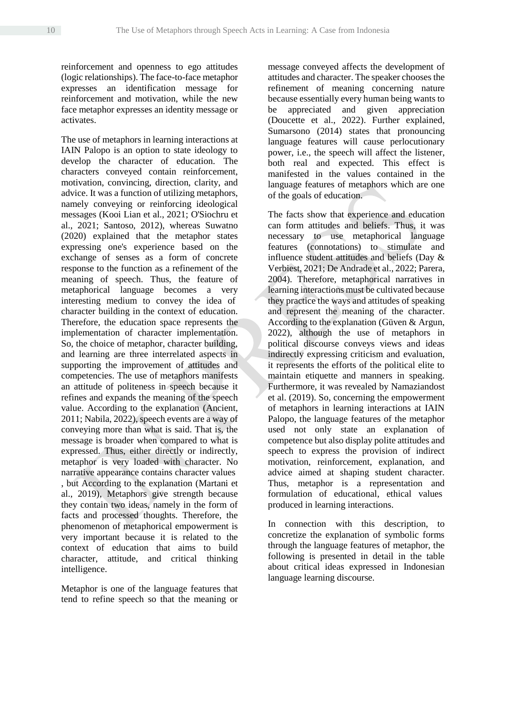reinforcement and openness to ego attitudes (logic relationships). The face-to-face metaphor expresses an identification message for reinforcement and motivation, while the new face metaphor expresses an identity message or activates.

The use of metaphors in learning interactions at IAIN Palopo is an option to state ideology to develop the character of education. The characters conveyed contain reinforcement, motivation, convincing, direction, clarity, and advice. It was a function of utilizing metaphors, namely conveying or reinforcing ideological messages (Kooi Lian et al., 2021; O'Siochru et al., 2021; Santoso, 2012), whereas Suwatno (2020) explained that the metaphor states expressing one's experience based on the exchange of senses as a form of concrete response to the function as a refinement of the meaning of speech. Thus, the feature of metaphorical language becomes a very interesting medium to convey the idea of character building in the context of education. Therefore, the education space represents the implementation of character implementation. So, the choice of metaphor, character building, and learning are three interrelated aspects in supporting the improvement of attitudes and competencies. The use of metaphors manifests an attitude of politeness in speech because it refines and expands the meaning of the speech value. According to the explanation (Ancient, 2011; Nabila, 2022), speech events are a way of conveying more than what is said. That is, the message is broader when compared to what is expressed. Thus, either directly or indirectly, metaphor is very loaded with character. No narrative appearance contains character values , but According to the explanation (Martani et al., 2019), Metaphors give strength because they contain two ideas, namely in the form of facts and processed thoughts. Therefore, the phenomenon of metaphorical empowerment is very important because it is related to the context of education that aims to build character, attitude, and critical thinking intelligence.

Metaphor is one of the language features that tend to refine speech so that the meaning or

message conveyed affects the development of attitudes and character. The speaker chooses the refinement of meaning concerning nature because essentially every human being wants to be appreciated and given appreciation (Doucette et al., 2022). Further explained, Sumarsono (2014) states that pronouncing language features will cause perlocutionary power, i.e., the speech will affect the listener, both real and expected. This effect is manifested in the values contained in the language features of metaphors which are one of the goals of education.

The facts show that experience and education can form attitudes and beliefs. Thus, it was necessary to use metaphorical language features (connotations) to stimulate and influence student attitudes and beliefs (Day & Verbiest, 2021; De Andrade et al., 2022; Parera, 2004). Therefore, metaphorical narratives in learning interactions must be cultivated because they practice the ways and attitudes of speaking and represent the meaning of the character. According to the explanation (Güven & Argun, 2022), although the use of metaphors in political discourse conveys views and ideas indirectly expressing criticism and evaluation, it represents the efforts of the political elite to maintain etiquette and manners in speaking. Furthermore, it was revealed by Namaziandost et al. (2019). So, concerning the empowerment of metaphors in learning interactions at IAIN Palopo, the language features of the metaphor used not only state an explanation of competence but also display polite attitudes and speech to express the provision of indirect motivation, reinforcement, explanation, and advice aimed at shaping student character. Thus, metaphor is a representation and formulation of educational, ethical values produced in learning interactions.

In connection with this description, to concretize the explanation of symbolic forms through the language features of metaphor, the following is presented in detail in the table about critical ideas expressed in Indonesian language learning discourse.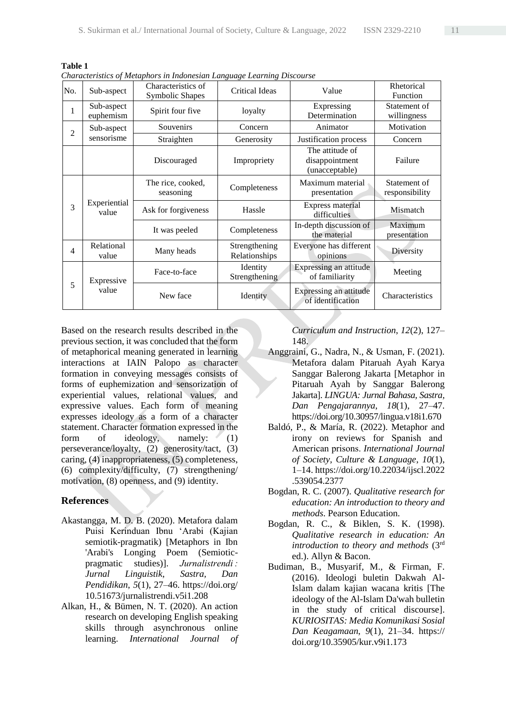| No.            | Sub-aspect               | Characteristics of<br><b>Symbolic Shapes</b> | <b>Critical Ideas</b>          | Value                                               | Rhetorical<br>Function         |
|----------------|--------------------------|----------------------------------------------|--------------------------------|-----------------------------------------------------|--------------------------------|
| 1              | Sub-aspect<br>euphemism  | Spirit four five                             | loyalty                        | Expressing<br>Determination                         | Statement of<br>willingness    |
| $\overline{2}$ | Sub-aspect<br>sensorisme | Souvenirs                                    | Concern                        | Animator                                            | Motivation                     |
|                |                          | Straighten                                   | Generosity                     | Justification process                               | Concern                        |
|                |                          | Discouraged                                  | Impropriety                    | The attitude of<br>disappointment<br>(unacceptable) | Failure                        |
| 3              | Experiential<br>value    | The rice, cooked,<br>seasoning               | Completeness                   | Maximum material<br>presentation                    | Statement of<br>responsibility |
|                |                          | Ask for forgiveness                          | Hassle                         | Express material<br>difficulties                    | Mismatch                       |
|                |                          | It was peeled                                | Completeness                   | In-depth discussion of<br>the material              | Maximum<br>presentation        |
| 4              | Relational<br>value      | Many heads                                   | Strengthening<br>Relationships | Everyone has different<br>opinions                  | Diversity                      |
| 5              | Expressive<br>value      | Face-to-face                                 | Identity<br>Strengthening      | Expressing an attitude<br>of familiarity            | Meeting                        |
|                |                          | New face                                     | Identity                       | Expressing an attitude<br>of identification         | Characteristics                |

**Table 1** *Characteristics of Metaphors in Indonesian Language Learning Discourse*

Based on the research results described in the previous section, it was concluded that the form of metaphorical meaning generated in learning interactions at IAIN Palopo as character formation in conveying messages consists of forms of euphemization and sensorization of experiential values, relational values, and expressive values. Each form of meaning expresses ideology as a form of a character statement. Character formation expressed in the form of ideology, namely: (1) perseverance/loyalty, (2) generosity/tact, (3) caring, (4) inappropriateness, (5) completeness, (6) complexity/difficulty, (7) strengthening/ motivation, (8) openness, and (9) identity.

# **References**

- Akastangga, M. D. B. (2020). Metafora dalam Puisi Kerinduan Ibnu 'Arabi (Kajian semiotik-pragmatik) [Metaphors in Ibn 'Arabi's Longing Poem (Semioticpragmatic studies)]. *Jurnalistrendi : Jurnal Linguistik, Sastra, Dan Pendidikan*, *5*(1), 27–46. https://doi.org/ 10.51673/jurnalistrendi.v5i1.208
- Alkan, H., & Bümen, N. T. (2020). An action research on developing English speaking skills through asynchronous online learning. *International Journal of*

*Curriculum and Instruction*, *12*(2), 127– 148.

- Anggraini, G., Nadra, N., & Usman, F. (2021). Metafora dalam Pitaruah Ayah Karya Sanggar Balerong Jakarta [Metaphor in Pitaruah Ayah by Sanggar Balerong Jakarta]. *LINGUA: Jurnal Bahasa, Sastra, Dan Pengajarannya*, *18*(1), 27–47. https://doi.org/10.30957/lingua.v18i1.670
- Baldó, P., & María, R. (2022). Metaphor and irony on reviews for Spanish and American prisons. *International Journal of Society, Culture & Language*, *10*(1), 1–14. https://doi.org/10.22034/ijscl.2022 .539054.2377
- Bogdan, R. C. (2007). *Qualitative research for education: An introduction to theory and methods*. Pearson Education.
- Bogdan, R. C., & Biklen, S. K. (1998). *Qualitative research in education: An introduction to theory and methods* (3rd ed.). Allyn & Bacon.
- Budiman, B., Musyarif, M., & Firman, F. (2016). Ideologi buletin Dakwah Al-Islam dalam kajian wacana kritis [The ideology of the Al-Islam Da'wah bulletin in the study of critical discourse]. *KURIOSITAS: Media Komunikasi Sosial Dan Keagamaan*, *9*(1), 21–34. https:// doi.org/10.35905/kur.v9i1.173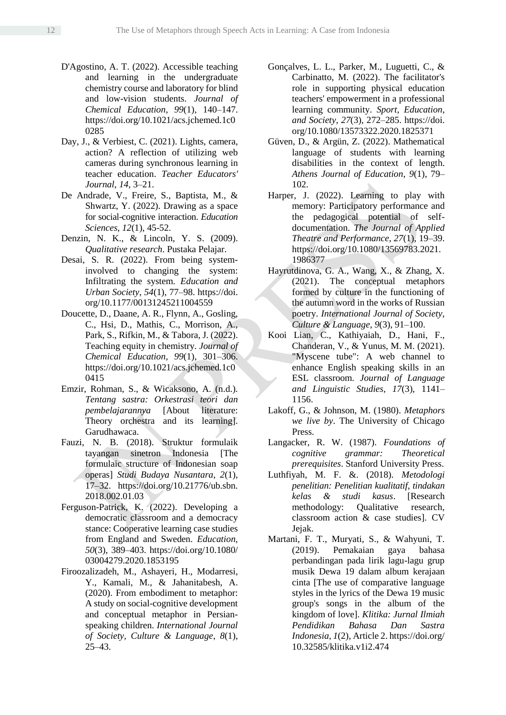- D'Agostino, A. T. (2022). Accessible teaching and learning in the undergraduate chemistry course and laboratory for blind and low-vision students. *Journal of Chemical Education*, *99*(1), 140–147. https://doi.org/10.1021/acs.jchemed.1c0 0285
- Day, J., & Verbiest, C. (2021). Lights, camera, action? A reflection of utilizing web cameras during synchronous learning in teacher education. *Teacher Educators' Journal*, *14*, 3–21.
- De Andrade, V., Freire, S., Baptista, M., & Shwartz, Y. (2022). Drawing as a space for social-cognitive interaction. *Education Sciences*, *12*(1), 45-52.
- Denzin, N. K., & Lincoln, Y. S. (2009). *Qualitative research*. Pustaka Pelajar.
- Desai, S. R. (2022). From being systeminvolved to changing the system: Infiltrating the system. *Education and Urban Society*, *54*(1), 77–98. https://doi. org/10.1177/00131245211004559
- Doucette, D., Daane, A. R., Flynn, A., Gosling, C., Hsi, D., Mathis, C., Morrison, A., Park, S., Rifkin, M., & Tabora, J. (2022). Teaching equity in chemistry. *Journal of Chemical Education*, *99*(1), 301–306. https://doi.org/10.1021/acs.jchemed.1c0 0415
- Emzir, Rohman, S., & Wicaksono, A. (n.d.). *Tentang sastra: Orkestrasi teori dan pembelajarannya* [About literature: Theory orchestra and its learning]. Garudhawaca.
- Fauzi, N. B. (2018). Struktur formulaik tayangan sinetron Indonesia [The formulaic structure of Indonesian soap operas] *Studi Budaya Nusantara*, *2*(1), 17–32. https://doi.org/10.21776/ub.sbn. 2018.002.01.03
- Ferguson-Patrick, K. (2022). Developing a democratic classroom and a democracy stance: Cooperative learning case studies from England and Sweden. *Education*, *50*(3), 389–403. https://doi.org/10.1080/ 03004279.2020.1853195
- Firoozalizadeh, M., Ashayeri, H., Modarresi, Y., Kamali, M., & Jahanitabesh, A. (2020). From embodiment to metaphor: A study on social-cognitive development and conceptual metaphor in Persianspeaking children. *International Journal of Society, Culture & Language*, *8*(1), 25–43.
- Gonçalves, L. L., Parker, M., Luguetti, C., & Carbinatto, M. (2022). The facilitator's role in supporting physical education teachers' empowerment in a professional learning community. *Sport, Education, and Society*, *27*(3), 272–285. https://doi. org/10.1080/13573322.2020.1825371
- Güven, D., & Argün, Z. (2022). Mathematical language of students with learning disabilities in the context of length. *Athens Journal of Education*, *9*(1), 79– 102.
- Harper, J. (2022). Learning to play with memory: Participatory performance and the pedagogical potential of selfdocumentation. *The Journal of Applied Theatre and Performance*, *27*(1), 19–39. https://doi.org/10.1080/13569783.2021. 1986377
- Hayrutdinova, G. A., Wang, X., & Zhang, X. (2021). The conceptual metaphors formed by culture in the functioning of the autumn word in the works of Russian poetry. *International Journal of Society, Culture & Language*, *9*(3), 91–100.
- Kooi Lian, C., Kathiyaiah, D., Hani, F., Chanderan, V., & Yunus, M. M. (2021). "Myscene tube": A web channel to enhance English speaking skills in an ESL classroom. *Journal of Language and Linguistic Studies*, *17*(3), 1141– 1156.
- Lakoff, G., & Johnson, M. (1980). *Metaphors we live by*. The University of Chicago Press.
- Langacker, R. W. (1987). *Foundations of cognitive grammar: Theoretical prerequisites*. Stanford University Press.
- Luthfiyah, M. F. &. (2018). *Metodologi penelitian: Penelitian kualitatif, tindakan kelas & studi kasus*. [Research methodology: Qualitative research, classroom action & case studies]. CV Jejak.
- Martani, F. T., Muryati, S., & Wahyuni, T. (2019). Pemakaian gaya bahasa perbandingan pada lirik lagu-lagu grup musik Dewa 19 dalam album kerajaan cinta [The use of comparative language styles in the lyrics of the Dewa 19 music group's songs in the album of the kingdom of love]. *Klitika: Jurnal Ilmiah Pendidikan Bahasa Dan Sastra Indonesia*, *1*(2), Article 2. https://doi.org/ 10.32585/klitika.v1i2.474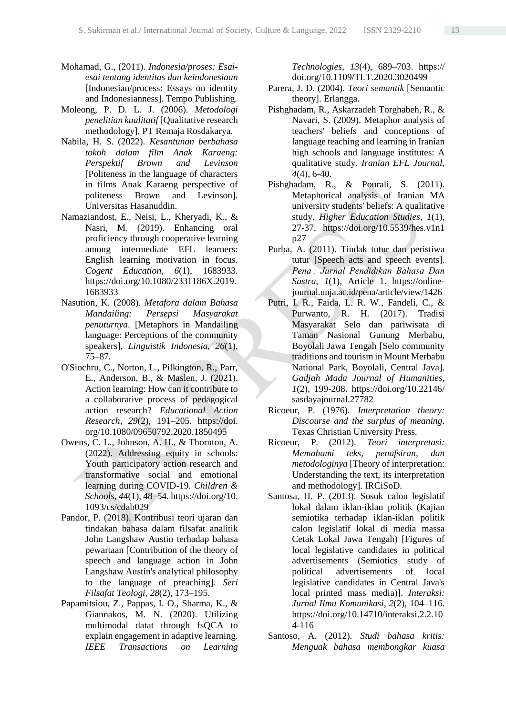- Mohamad, G., (2011). *Indonesia/proses: Esaiesai tentang identitas dan keindonesiaan*  [Indonesian/process: Essays on identity and Indonesianness]. Tempo Publishing.
- Moleong, P. D. L. J. (2006). *Metodologi penelitian kualitatif* [Qualitative research methodology]. PT Remaja Rosdakarya.
- Nabila, H. S. (2022). *Kesantunan berbahasa tokoh dalam film Anak Karaeng: Perspektif Brown and Levinson*  [Politeness in the language of characters in films Anak Karaeng perspective of politeness Brown and Levinson]*.* Universitas Hasanuddin.
- Namaziandost, E., Neisi, L., Kheryadi, K., & Nasri, M. (2019). Enhancing oral proficiency through cooperative learning among intermediate EFL learners: English learning motivation in focus. *Cogent Education*, *6*(1), 1683933. https://doi.org/10.1080/2331186X.2019. 1683933
- Nasution, K. (2008). *Metafora dalam Bahasa Mandailing: Persepsi Masyarakat penuturnya*. [Metaphors in Mandailing language: Perceptions of the community speakers], *Linguistik Indonesia, 26*(1), 75–87.
- O'Siochru, C., Norton, L., Pilkington, R., Parr, E., Anderson, B., & Maslen, J. (2021). Action learning: How can it contribute to a collaborative process of pedagogical action research? *Educational Action Research*, *29*(2), 191–205. https://doi. org/10.1080/09650792.2020.1850495
- Owens, C. L., Johnson, A. H., & Thornton, A. (2022). Addressing equity in schools: Youth participatory action research and transformative social and emotional learning during COVID-19. *Children & Schools*, *44*(1), 48–54. https://doi.org/10. 1093/cs/cdab029
- Pandor, P. (2018). Kontribusi teori ujaran dan tindakan bahasa dalam filsafat analitik John Langshaw Austin terhadap bahasa pewartaan [Contribution of the theory of speech and language action in John Langshaw Austin's analytical philosophy to the language of preaching]. *Seri Filsafat Teologi*, *28*(2), 173–195.
- Papamitsiou, Z., Pappas, I. O., Sharma, K., & Giannakos, M. N. (2020). Utilizing multimodal datat through fsQCA to explain engagement in adaptive learning. *IEEE Transactions on Learning*

*Technologies*, *13*(4), 689–703. https:// doi.org/10.1109/TLT.2020.3020499

- Parera, J. D. (2004). *Teori semantik* [Semantic theory]. Erlangga.
- Pishghadam, R., Askarzadeh Torghabeh, R., & Navari, S. (2009). Metaphor analysis of teachers' beliefs and conceptions of language teaching and learning in Iranian high schools and language institutes: A qualitative study. *Iranian EFL Journal*, *4*(4), 6-40.
- Pishghadam, R., & Pourali, S. (2011). Metaphorical analysis of Iranian MA university students' beliefs: A qualitative study. *Higher Education Studies*, *1*(1), 27-37. https://doi.org/10.5539/hes.v1n1 p27
- Purba, A. (2011). Tindak tutur dan peristiwa tutur [Speech acts and speech events]. *Pena : Jurnal Pendidikan Bahasa Dan Sastra*, *1*(1), Article 1. https://onlinejournal.unja.ac.id/pena/article/view/1426
- Putri, I. R., Faida, L. R. W., Fandeli, C., & Purwanto, R. H. (2017). Tradisi Masyarakat Selo dan pariwisata di Taman Nasional Gunung Merbabu, Boyolali Jawa Tengah [Selo community traditions and tourism in Mount Merbabu National Park, Boyolali, Central Java]. *Gadjah Mada Journal of Humanities*, *1*(2), 199-208. https://doi.org/10.22146/ sasdayajournal.27782
- Ricoeur, P. (1976). *Interpretation theory: Discourse and the surplus of meaning*. Texas Christian University Press.
- Ricoeur, P. (2012). *Teori interpretasi: Memahami teks, penafsiran, dan metodologinya* [Theory of interpretation: Understanding the text, its interpretation and methodology]. IRCiSoD.
- Santosa, H. P. (2013). Sosok calon legislatif lokal dalam iklan-iklan politik (Kajian semiotika terhadap iklan-iklan politik calon legislatif lokal di media massa Cetak Lokal Jawa Tengah) [Figures of local legislative candidates in political advertisements (Semiotics study of political advertisements of local legislative candidates in Central Java's local printed mass media)]. *Interaksi: Jurnal Ilmu Komunikasi*, *2*(2), 104–116. https://doi.org/10.14710/interaksi.2.2.10 4-116
- Santoso, A. (2012). *Studi bahasa kritis: Menguak bahasa membongkar kuasa*